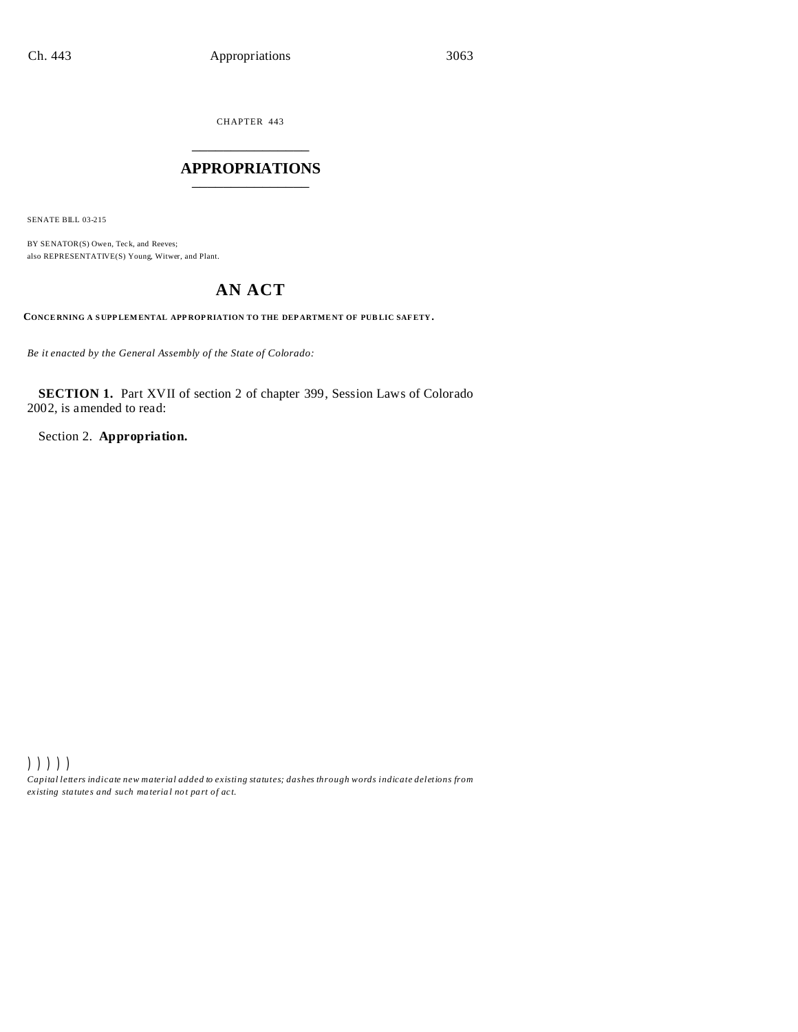CHAPTER 443 \_\_\_\_\_\_\_\_\_\_\_\_\_\_\_

### **APPROPRIATIONS** \_\_\_\_\_\_\_\_\_\_\_\_\_\_\_

SENATE BILL 03-215

BY SENATOR(S) Owen, Teck, and Reeves; also REPRESENTATIVE(S) Young, Witwer, and Plant.

# **AN ACT**

**CONCE RNING A S UPP LEM ENTAL APP ROP RIATION TO THE DEP ARTME NT OF PUB LIC SAFETY.**

*Be it enacted by the General Assembly of the State of Colorado:*

**SECTION 1.** Part XVII of section 2 of chapter 399, Session Laws of Colorado 2002, is amended to read:

Section 2. **Appropriation.**

))))) *Capital letters indicate new material added to existing statutes; dashes through words indicate deletions from ex isting statute s and such ma teria l no t pa rt of ac t.*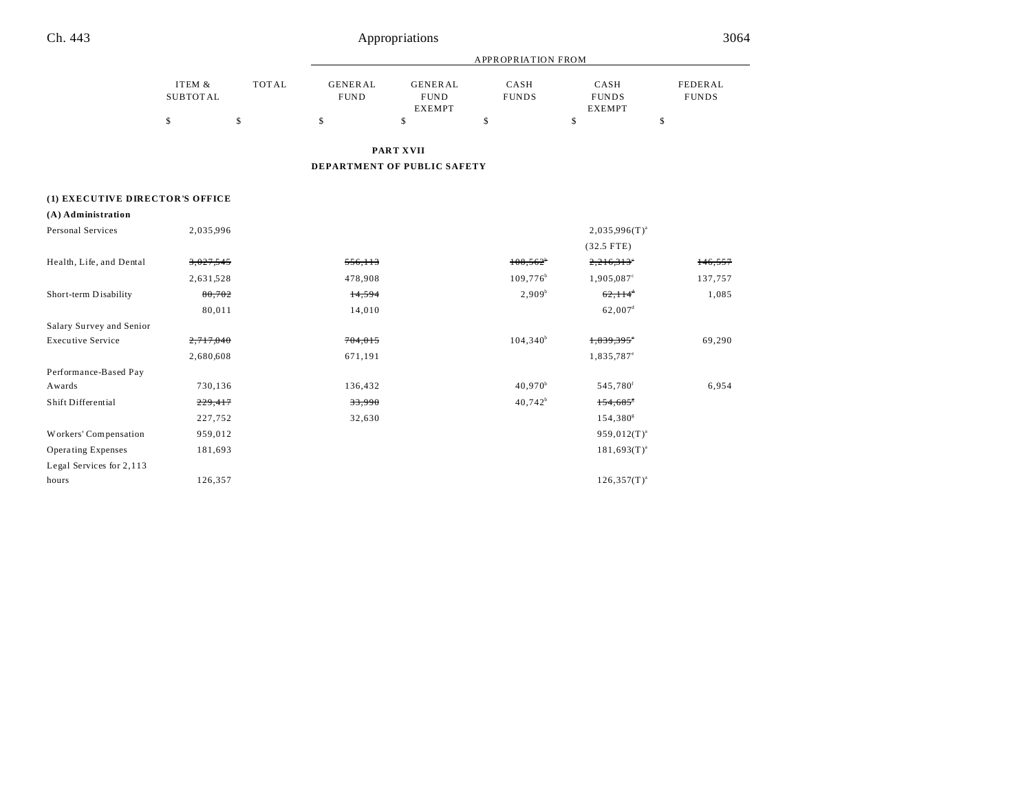# Appropriations 3064

|                                 |                           |              | <b>APPROPRIATION FROM</b>     |                                                |                        |                                       |                         |  |
|---------------------------------|---------------------------|--------------|-------------------------------|------------------------------------------------|------------------------|---------------------------------------|-------------------------|--|
|                                 | ITEM &<br><b>SUBTOTAL</b> | <b>TOTAL</b> | <b>GENERAL</b><br><b>FUND</b> | <b>GENERAL</b><br><b>FUND</b><br><b>EXEMPT</b> | CASH<br><b>FUNDS</b>   | CASH<br><b>FUNDS</b><br><b>EXEMPT</b> | FEDERAL<br><b>FUNDS</b> |  |
|                                 | \$                        | \$           | \$                            | \$                                             | \$                     | \$                                    | \$                      |  |
|                                 |                           |              |                               | PART XVII                                      |                        |                                       |                         |  |
|                                 |                           |              |                               | DEPARTMENT OF PUBLIC SAFETY                    |                        |                                       |                         |  |
| (1) EXECUTIVE DIRECTOR'S OFFICE |                           |              |                               |                                                |                        |                                       |                         |  |
| (A) Administration              |                           |              |                               |                                                |                        |                                       |                         |  |
| Personal Services               | 2,035,996                 |              |                               |                                                |                        | $2,035,996(T)^{a}$                    |                         |  |
|                                 |                           |              |                               |                                                |                        | $(32.5$ FTE)                          |                         |  |
| Health, Life, and Dental        | 3,027,545                 |              | 556,113                       |                                                | $108,562^{\circ}$      | 2,216,313                             | 146,557                 |  |
|                                 | 2,631,528                 |              | 478,908                       |                                                | $109,776$ <sup>b</sup> | 1,905,087 <sup>c</sup>                | 137,757                 |  |
| Short-term Disability           | 80,702                    |              | 14,594                        |                                                | $2,909^b$              | $62,114$ <sup>*</sup>                 | 1,085                   |  |
|                                 | 80,011                    |              | 14,010                        |                                                |                        | $62,007$ <sup>d</sup>                 |                         |  |
| Salary Survey and Senior        |                           |              |                               |                                                |                        |                                       |                         |  |
| <b>Executive Service</b>        | 2,717,040                 |              | 704,015                       |                                                | $104,340^b$            | 1,839,395°                            | 69,290                  |  |
|                                 | 2,680,608                 |              | 671,191                       |                                                |                        | 1,835,787 <sup>e</sup>                |                         |  |
| Performance-Based Pay           |                           |              |                               |                                                |                        |                                       |                         |  |
| Awards                          | 730,136                   |              | 136,432                       |                                                | $40,970^b$             | 545,780 <sup>f</sup>                  | 6,954                   |  |
| Shift Differential              | 229,417                   |              | 33,990                        |                                                | $40,742^b$             | 154,685                               |                         |  |
|                                 | 227,752                   |              | 32,630                        |                                                |                        | 154,380 <sup>g</sup>                  |                         |  |
| Workers' Compensation           | 959,012                   |              |                               |                                                |                        | $959,012(T)^{a}$                      |                         |  |
| <b>Operating Expenses</b>       | 181,693                   |              |                               |                                                |                        | $181,693(T)^{a}$                      |                         |  |
| Legal Services for 2,113        |                           |              |                               |                                                |                        |                                       |                         |  |
| hours                           | 126,357                   |              |                               |                                                |                        | $126,357(T)^{a}$                      |                         |  |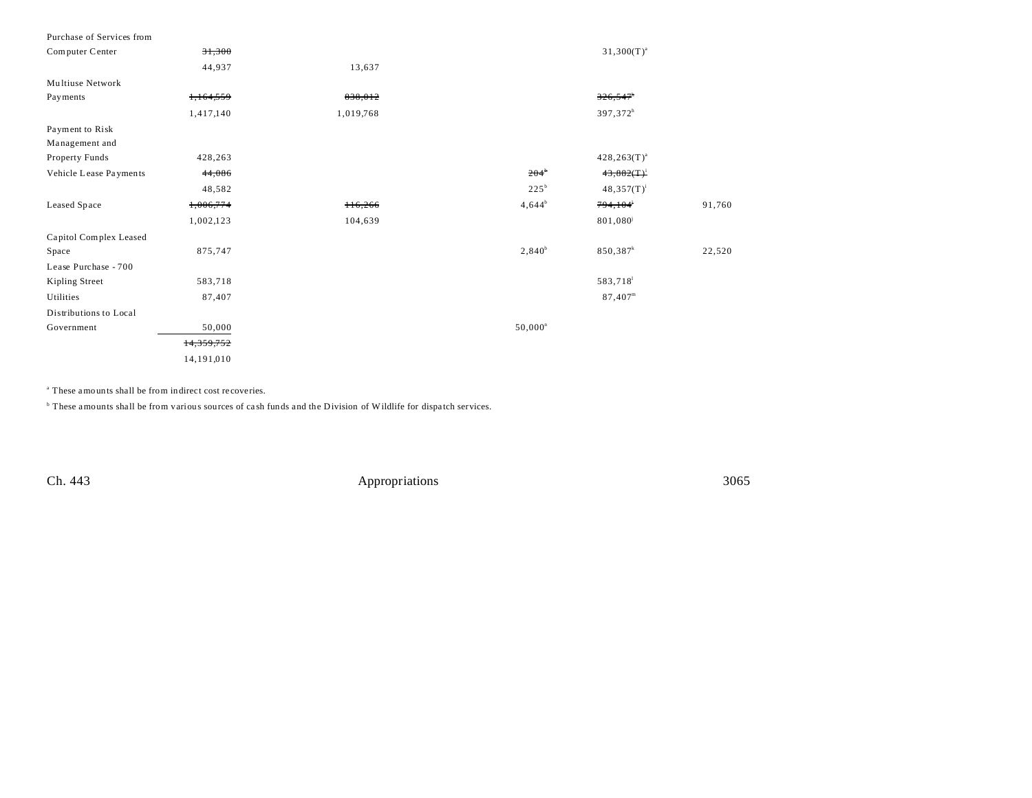| Purchase of Services from |            |           |                    |                        |        |
|---------------------------|------------|-----------|--------------------|------------------------|--------|
| Computer Center           | 31,300     |           |                    | $31,300(T)^{a}$        |        |
|                           | 44,937     | 13,637    |                    |                        |        |
| Multiuse Network          |            |           |                    |                        |        |
| Payments                  | 1,164,559  | 838,012   |                    | $326,547$ <sup>h</sup> |        |
|                           | 1,417,140  | 1,019,768 |                    | 397,372 <sup>h</sup>   |        |
| Payment to Risk           |            |           |                    |                        |        |
| Management and            |            |           |                    |                        |        |
| Property Funds            | 428,263    |           |                    | $428, 263(T)^{a}$      |        |
| Vehicle Lease Payments    | 44,086     |           | $204^{\circ}$      | $43,882(T)^1$          |        |
|                           | 48,582     |           | $225^{\mathrm{b}}$ | $48,357(T)^{1}$        |        |
| Leased Space              | 1,006,774  | $+16,266$ | $4,644^b$          | 794,104 <sup>i</sup>   | 91,760 |
|                           | 1,002,123  | 104,639   |                    | 801,080                |        |
| Capitol Complex Leased    |            |           |                    |                        |        |
| Space                     | 875,747    |           | $2,840^b$          | $850,387$ <sup>k</sup> | 22,520 |
| Lease Purchase - 700      |            |           |                    |                        |        |
| Kipling Street            | 583,718    |           |                    | 583,718                |        |
| Utilities                 | 87,407     |           |                    | $87,407^m$             |        |
| Distributions to Local    |            |           |                    |                        |        |
| Government                | 50,000     |           | $50,000^n$         |                        |        |
|                           | 14,359,752 |           |                    |                        |        |
|                           | 14,191,010 |           |                    |                        |        |

a These amounts shall be from indirect cost recoveries.

<sup>b</sup> These amounts shall be from various sources of cash funds and the Division of Wildlife for dispatch services.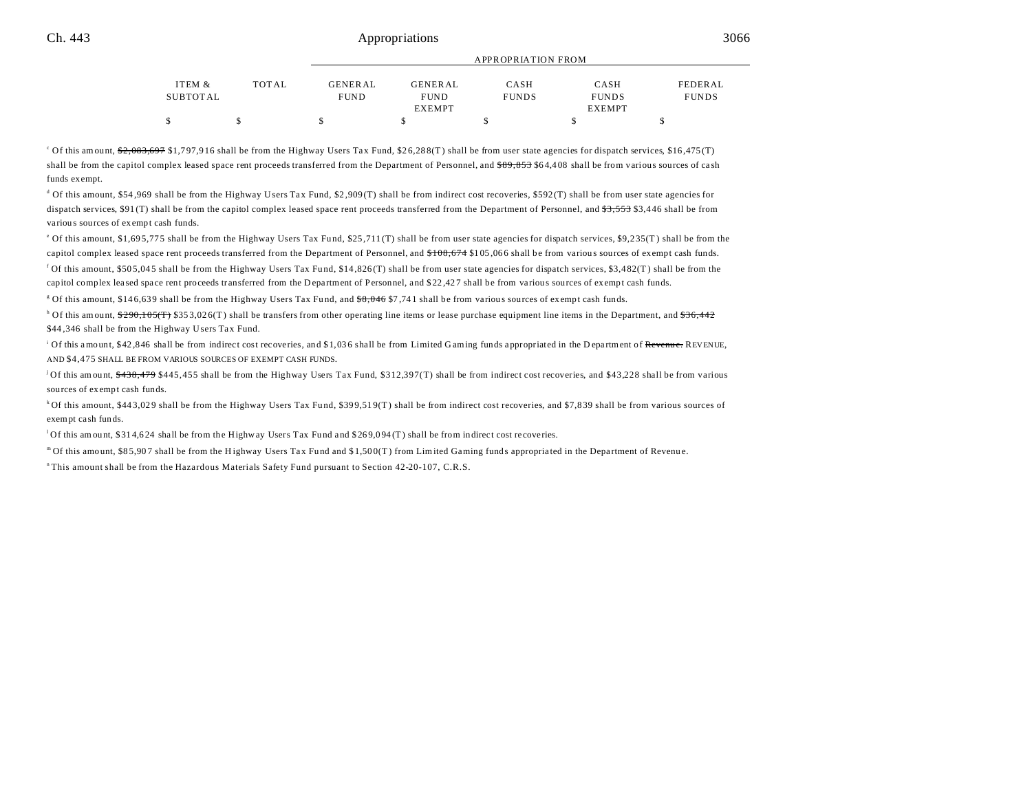#### Ch. 443 **Appropriations** 3066 **Ch.** 443

|          |       | APPROPRIATION FROM |                |              |               |              |  |
|----------|-------|--------------------|----------------|--------------|---------------|--------------|--|
| ITEM &   | TOTAL | <b>GENERAL</b>     | <b>GENERAL</b> | CASH         | CASH          | FEDERAL      |  |
| SUBTOTAL |       | <b>FUND</b>        | <b>FUND</b>    | <b>FUNDS</b> | <b>FUNDS</b>  | <b>FUNDS</b> |  |
|          |       |                    | <b>EXEMPT</b>  |              | <b>EXEMPT</b> |              |  |
|          |       |                    |                |              |               |              |  |

Of this amount, \$2,083,697 \$1,797,916 shall be from the Highway Users Tax Fund, \$26,288(T) shall be from user state agencies for dispatch services, \$16,475(T) shall be from the capitol complex leased space rent proceeds transferred from the Department of Personnel, and \$89,853 \$64,408 shall be from various sources of cash funds exempt.

d Of this amount, \$54,969 shall be from the Highway Users Tax Fund, \$2,909(T) shall be from indirect cost recoveries, \$592(T) shall be from user state agencies for dispatch services, \$91(T) shall be from the capitol complex leased space rent proceeds transferred from the Department of Personnel, and \$3,553 \$3,446 shall be from variou s sources of exempt cash funds.

of this amount, \$1,695,775 shall be from the Highway Users Tax Fund, \$25,711(T) shall be from user state agencies for dispatch services, \$9,235(T) shall be from the capitol complex leased space rent proceeds transferred from the Department of Personnel, and  $$108,674 $105,066$  shall be from various sources of exempt cash funds.

<sup>f</sup> Of this amount, \$505,045 shall be from the Highway Users Tax Fund, \$14,826(T) shall be from user state agencies for dispatch services, \$3,482(T) shall be from the capitol complex leased space rent proceeds transferred from the Department of Personnel, and \$22,427 shall be from various sources of exempt cash funds.

<sup>g</sup> Of this amount, \$146,639 shall be from the Highway Users Tax Fund, and <del>\$8,046</del> \$7,741 shall be from various sources of exempt cash funds.

<sup>h</sup> Of this amount, \$290,105(T) \$353,026(T) shall be transfers from other operating line items or lease purchase equipment line items in the Department, and <del>\$36,442</del> \$44,346 shall be from the Highway Users Tax Fund.

<sup>i</sup> Of this amount, \$42,846 shall be from indirect cost recoveries, and \$1,036 shall be from Limited Gaming funds appropriated in the Department of <del>Revenue.</del> REVENUE, AND \$4,475 SHALL BE FROM VARIOUS SOURCES OF EXEMPT CASH FUNDS.

<sup>j</sup>Of this amount,  $\frac{438}{478}$ ,  $\frac{479}{479}$  \$445, 455 shall be from the Highway Users Tax Fund, \$312,397(T) shall be from indirect cost recoveries, and \$43,228 shall be from various sources of exempt cash funds.

<sup>k</sup>Of this amount, \$443,029 shall be from the Highway Users Tax Fund, \$399,519(T) shall be from indirect cost recoveries, and \$7,839 shall be from various sources of exempt ca sh funds.

 $1$ Of this amount, \$314,624 shall be from the Highway Users Tax Fund and \$269,094(T) shall be from indirect cost recoveries.

m Of this amount, \$85,907 shall be from the Highway Users Tax Fund and \$1,500(T) from Limited Gaming funds appropriated in the Department of Revenue. <sup>n</sup>This amount shall be from the Hazardous Materials Safety Fund pursuant to Section 42-20-107, C.R.S.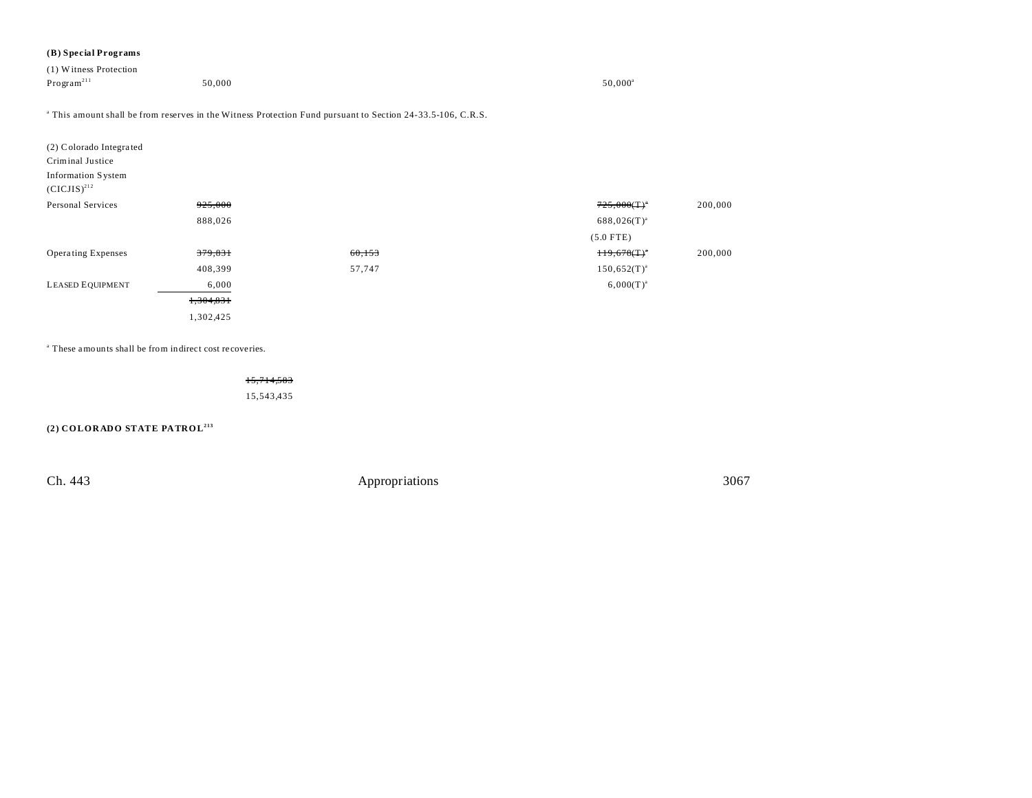#### **(B) Special Programs**

| (1) Witness Protection |        |                  |
|------------------------|--------|------------------|
| Program <sup>211</sup> | 50,000 | $50,000^{\rm a}$ |
|                        |        |                  |

a This amount shall be from reserves in the Witness Protection Fund pursuant to Section 24-33.5-106, C.R.S.

| (2) Colorado Integrated<br>Criminal Justice<br>Information System<br>$(CICJIS)^{212}$ |           |        |                  |         |
|---------------------------------------------------------------------------------------|-----------|--------|------------------|---------|
| Personal Services                                                                     | 925,000   |        | $725,000(T)^*$   | 200,000 |
|                                                                                       | 888,026   |        | $688,026(T)^{a}$ |         |
|                                                                                       |           |        | $(5.0$ FTE)      |         |
| <b>Operating Expenses</b>                                                             | 379,831   | 60,153 | $H9,678(T)^*$    | 200,000 |
|                                                                                       | 408,399   | 57,747 | $150,652(T)^{a}$ |         |
| <b>LEASED EQUIPMENT</b>                                                               | 6,000     |        | $6,000(T)^{a}$   |         |
|                                                                                       | 1,304,831 |        |                  |         |
|                                                                                       | 1,302,425 |        |                  |         |

a These amounts shall be from indirect cost recoveries.

15,714,583 15,543,435

**(2) COLORADO STATE PATROL213**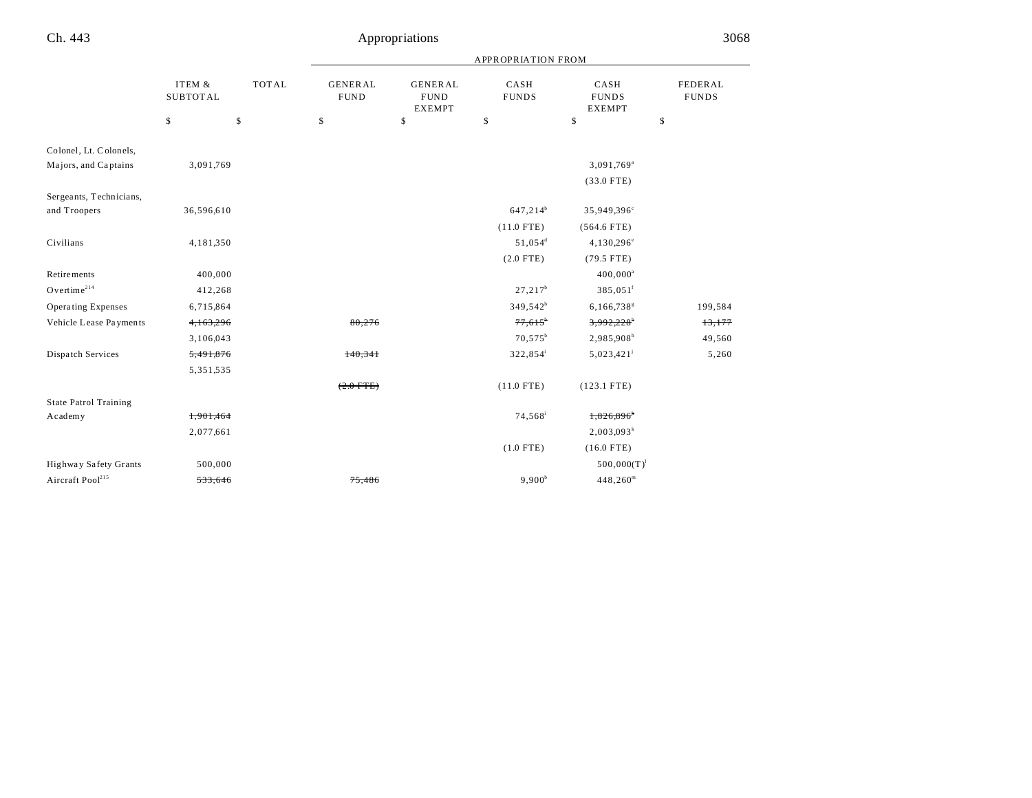|                              |                 | ITEM &<br><b>TOTAL</b> | <b>APPROPRIATION FROM</b>     |                                                |                       |                                       |                         |  |
|------------------------------|-----------------|------------------------|-------------------------------|------------------------------------------------|-----------------------|---------------------------------------|-------------------------|--|
|                              | <b>SUBTOTAL</b> |                        | <b>GENERAL</b><br><b>FUND</b> | <b>GENERAL</b><br><b>FUND</b><br><b>EXEMPT</b> | CASH<br><b>FUNDS</b>  | CASH<br><b>FUNDS</b><br><b>EXEMPT</b> | FEDERAL<br><b>FUNDS</b> |  |
|                              | \$              | \$                     | \$                            | \$                                             | \$                    | \$                                    | \$                      |  |
| Colonel, Lt. Colonels,       |                 |                        |                               |                                                |                       |                                       |                         |  |
| Majors, and Captains         | 3,091,769       |                        |                               |                                                |                       | 3,091,769 <sup>a</sup>                |                         |  |
|                              |                 |                        |                               |                                                |                       | $(33.0$ FTE)                          |                         |  |
| Sergeants, Technicians,      |                 |                        |                               |                                                |                       |                                       |                         |  |
| and Troopers                 | 36,596,610      |                        |                               |                                                | $647,214^b$           | 35,949,396°                           |                         |  |
|                              |                 |                        |                               |                                                | $(11.0$ FTE)          | $(564.6$ FTE)                         |                         |  |
| Civilians                    | 4,181,350       |                        |                               |                                                | 51,054 <sup>d</sup>   | 4,130,296 <sup>e</sup>                |                         |  |
|                              |                 |                        |                               |                                                | $(2.0$ FTE)           | $(79.5$ FTE)                          |                         |  |
| <b>Retirements</b>           | 400,000         |                        |                               |                                                |                       | $400,000^a$                           |                         |  |
| Overtime <sup>214</sup>      | 412,268         |                        |                               |                                                | $27,217^b$            | 385,051 <sup>f</sup>                  |                         |  |
| <b>Operating Expenses</b>    | 6,715,864       |                        |                               |                                                | $349,542^b$           | $6,166,738$ <sup>g</sup>              | 199,584                 |  |
| Vehicle Lease Payments       | 4,163,296       |                        | 80,276                        |                                                | $77,615$ <sup>*</sup> | 3,992,228                             | 13,177                  |  |
|                              | 3,106,043       |                        |                               |                                                | $70,575^b$            | 2,985,908h                            | 49,560                  |  |
| Dispatch Services            | 5,491,876       |                        | 140,341                       |                                                | 322,854               | $5,023,421$ <sup>j</sup>              | 5,260                   |  |
|                              | 5,351,535       |                        |                               |                                                |                       |                                       |                         |  |
|                              |                 |                        | $(2.0$ FTE)                   |                                                | $(11.0$ FTE)          | $(123.1$ FTE)                         |                         |  |
| <b>State Patrol Training</b> |                 |                        |                               |                                                |                       |                                       |                         |  |
| Academy                      | 1,901,464       |                        |                               |                                                | 74,568 <sup>i</sup>   | 1,826,896*                            |                         |  |
|                              | 2,077,661       |                        |                               |                                                |                       | $2,003,093^k$                         |                         |  |
|                              |                 |                        |                               |                                                | $(1.0$ FTE)           | $(16.0$ FTE)                          |                         |  |
| Highway Safety Grants        | 500,000         |                        |                               |                                                |                       | $500,000(T)^1$                        |                         |  |
| Aircraft Pool <sup>215</sup> | 533.646         |                        | 75,486                        |                                                | $9,900^b$             | $448,260^{\rm m}$                     |                         |  |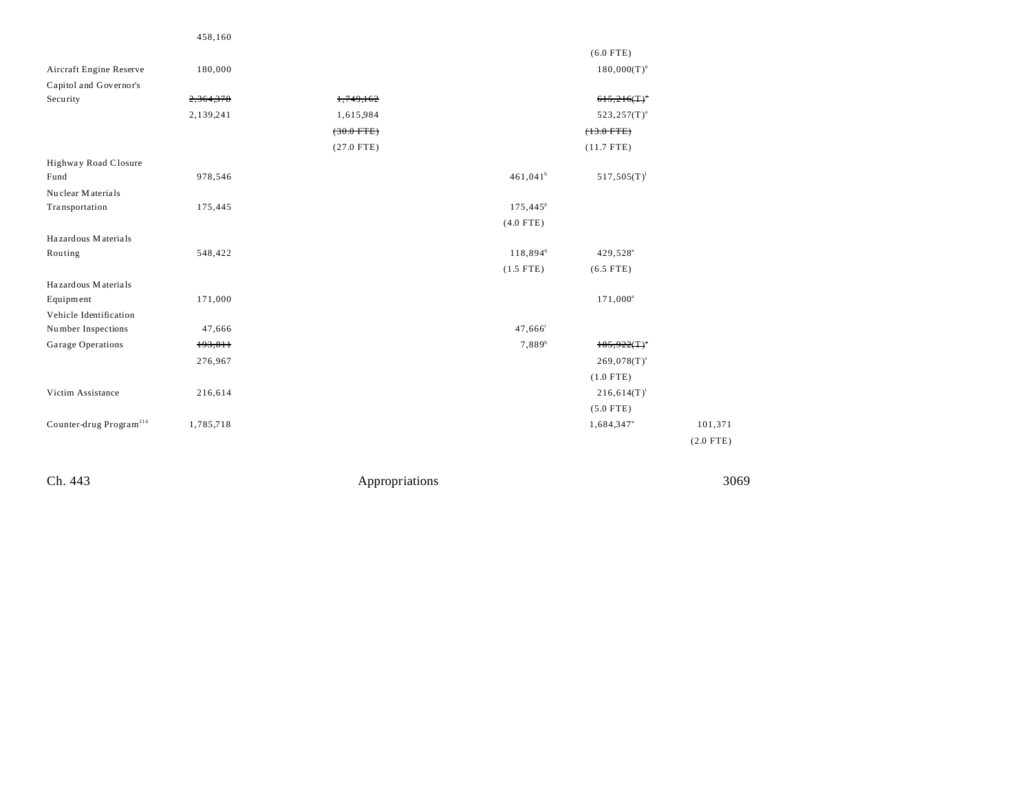|                                     | 458,160   |                      |                      |                        |             |
|-------------------------------------|-----------|----------------------|----------------------|------------------------|-------------|
|                                     |           |                      |                      | $(6.0$ FTE)            |             |
| Aircraft Engine Reserve             | 180,000   |                      |                      | $180,000(T)^n$         |             |
| Capitol and Governor's              |           |                      |                      |                        |             |
| Security                            | 2,364,378 | 1,749,162            |                      | 615,216(T)             |             |
|                                     | 2,139,241 | 1,615,984            |                      | $523, 257(T)$ °        |             |
|                                     |           | $(30.0 \text{ FTE})$ |                      | $(13.0$ FTE)           |             |
|                                     |           | $(27.0$ FTE)         |                      | $(11.7$ FTE)           |             |
| Highway Road Closure                |           |                      |                      |                        |             |
| Fund                                | 978,546   |                      | $461,041^b$          | $517,505(T)^1$         |             |
| Nuclear Materials                   |           |                      |                      |                        |             |
| Transportation                      | 175,445   |                      | 175,445 <sup>P</sup> |                        |             |
|                                     |           |                      | $(4.0$ FTE)          |                        |             |
| Hazardous Materials                 |           |                      |                      |                        |             |
| Routing                             | 548,422   |                      | 118,8949             | 429,528 <sup>a</sup>   |             |
|                                     |           |                      | $(1.5$ FTE)          | $(6.5$ FTE)            |             |
| Hazardous Materials                 |           |                      |                      |                        |             |
| Equipment                           | 171,000   |                      |                      | $171,000^a$            |             |
| Vehicle Identification              |           |                      |                      |                        |             |
| Number Inspections                  | 47,666    |                      | 47,666               |                        |             |
| Garage Operations                   | 193,811   |                      | $7,889^{b}$          | 185,922(T)             |             |
|                                     | 276,967   |                      |                      | $269,078(T)^s$         |             |
|                                     |           |                      |                      | $(1.0$ FTE)            |             |
| Victim Assistance                   | 216,614   |                      |                      | $216,614(T)^t$         |             |
|                                     |           |                      |                      | $(5.0$ FTE)            |             |
| Counter-drug Program <sup>216</sup> | 1,785,718 |                      |                      | 1,684,347 <sup>u</sup> | 101,371     |
|                                     |           |                      |                      |                        | $(2.0$ FTE) |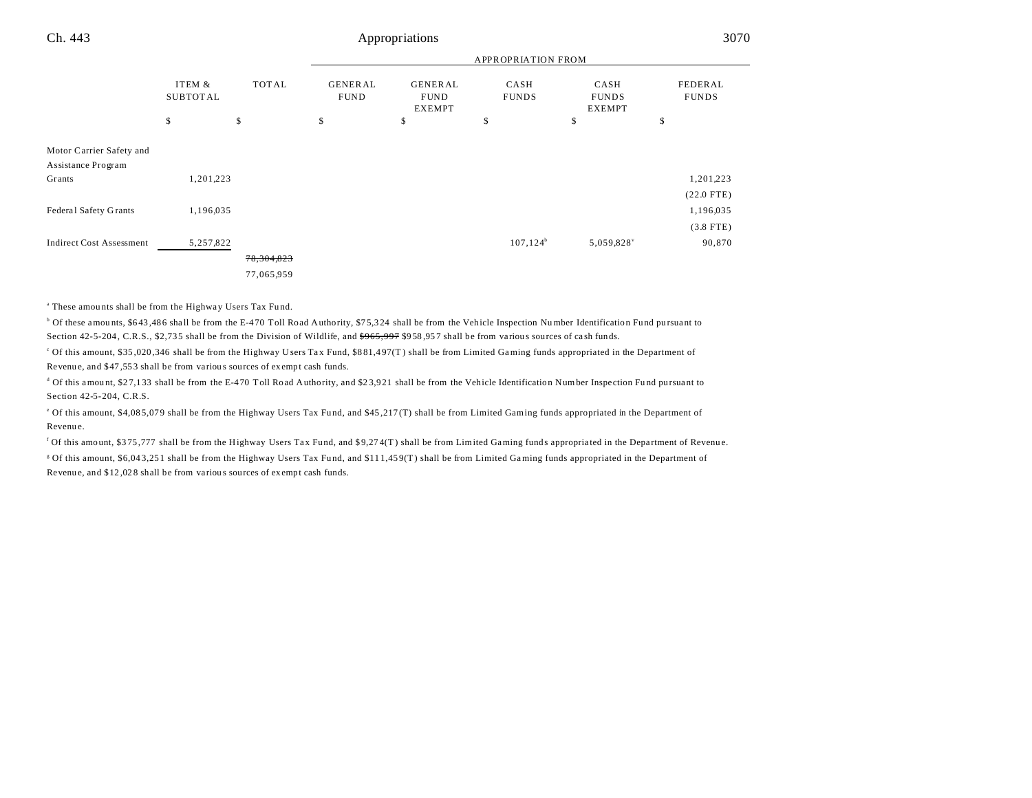|                                                |                           |              | <b>APPROPRIATION FROM</b>     |                                         |                      |                                       |                         |  |
|------------------------------------------------|---------------------------|--------------|-------------------------------|-----------------------------------------|----------------------|---------------------------------------|-------------------------|--|
|                                                | ITEM &<br><b>SUBTOTAL</b> | <b>TOTAL</b> | <b>GENERAL</b><br><b>FUND</b> | <b>GENERAL</b><br><b>FUND</b><br>EXEMPT | CASH<br><b>FUNDS</b> | CASH<br><b>FUNDS</b><br><b>EXEMPT</b> | FEDERAL<br><b>FUNDS</b> |  |
|                                                | \$                        | \$           | \$                            | \$                                      | \$                   | \$                                    | \$                      |  |
| Motor Carrier Safety and<br>Assistance Program |                           |              |                               |                                         |                      |                                       |                         |  |
| Grants                                         | 1,201,223                 |              |                               |                                         |                      |                                       | 1,201,223               |  |
|                                                |                           |              |                               |                                         |                      |                                       | $(22.0$ FTE)            |  |
| Federal Safety Grants                          | 1,196,035                 |              |                               |                                         |                      |                                       | 1,196,035               |  |
|                                                |                           |              |                               |                                         |                      |                                       | $(3.8$ FTE)             |  |
| <b>Indirect Cost Assessment</b>                | 5,257,822                 |              |                               |                                         | $107, 124^b$         | 5,059,828                             | 90,870                  |  |
|                                                |                           | 78, 304, 823 |                               |                                         |                      |                                       |                         |  |
|                                                |                           | 77,065,959   |                               |                                         |                      |                                       |                         |  |

<sup>a</sup> These amounts shall be from the Highway Users Tax Fund.

<sup>b</sup> Of these amounts, \$643,486 shall be from the E-470 Toll Road Authority, \$75,324 shall be from the Vehicle Inspection Number Identification Fund pursuant to Section 42-5-204, C.R.S., \$2,735 shall be from the Division of Wildlife, and  $$965,997$  \$958,957 shall be from various sources of cash funds.

c Of this amount, \$35 ,020 ,346 shall be from the Highway Users Ta x Fund, \$8 81,4 97(T ) shall be from Limited Gaming funds appropriated in the Department of Revenu e, and \$47 ,55 3 shall be from variou s sources of exempt cash funds.

d Of this amount, \$27,133 shall be from the E-470 Toll Road Authority, and \$23,921 shall be from the Vehicle Identification Number Inspection Fund pursuant to Section 42-5-204, C.R.S.

<sup>e</sup> Of this amount, \$4,085,079 shall be from the Highway Users Tax Fund, and \$45,217(T) shall be from Limited Gaming funds appropriated in the Department of Revenu e.

<sup>f</sup> Of this amount, \$375,777 shall be from the Highway Users Tax Fund, and \$9,274(T) shall be from Limited Gaming funds appropriated in the Department of Revenue. <sup>g</sup> Of this amount, \$6,043,251 shall be from the Highway Users Tax Fund, and \$111,459(T) shall be from Limited Gaming funds appropriated in the Department of Revenu e, and \$12 ,02 8 shall be from variou s sources of exempt cash funds.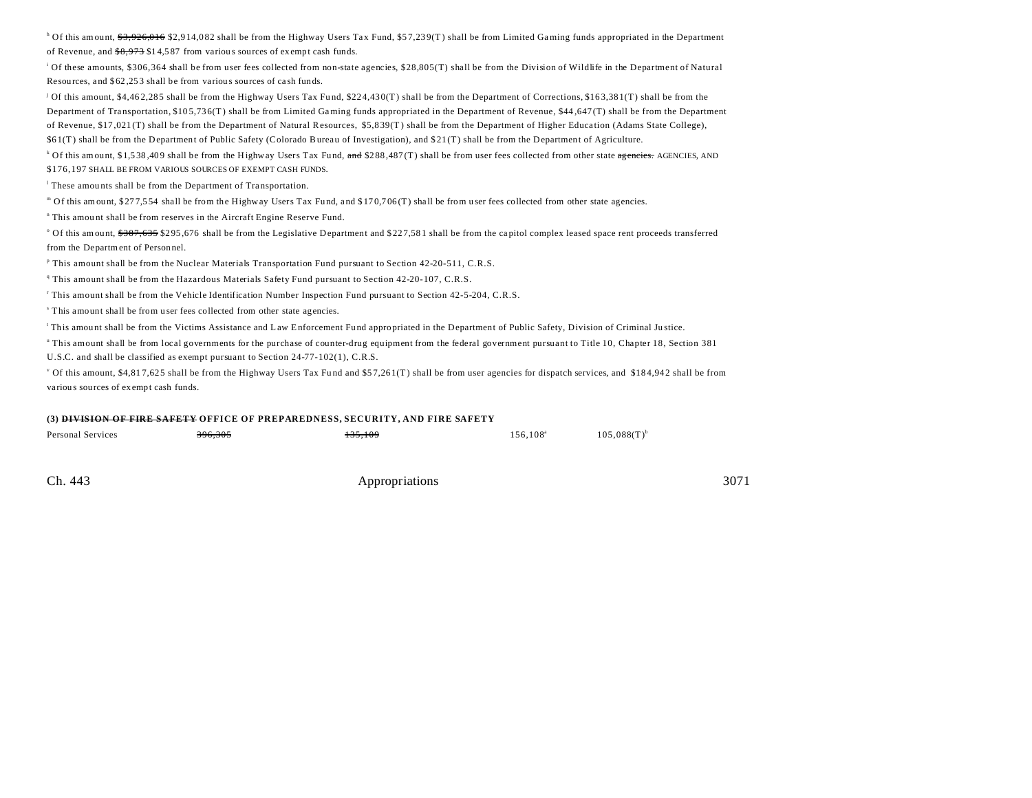<sup>h</sup> Of this amount, <del>\$3,926,016</del> \$2,914,082 shall be from the Highway Users Tax Fund, \$57,239(T) shall be from Limited Gaming funds appropriated in the Department of Revenue, and  $\frac{$8,973}{$14,587}$  from various sources of exempt cash funds.

i Of these amounts, \$306,364 shall be from user fees collected from non-state agencies, \$28,805(T) shall be from the Division of Wildlife in the Department of Natural Resources, and \$ 62 ,25 3 shall be from variou s sources of ca sh funds.

j Of this amount, \$4,46 2,28 5 shall be from the Highway Users Tax Fu nd, \$22 4,43 0(T) shall be from the Department of Corrections, \$16 3,38 1(T) shall be from the Department of Tra nsportation, \$10 5,73 6(T) shall be from Limited Gaming funds appropriated in the Department of Revenue, \$44 ,647 (T) shall be from the Department of Revenue, \$17,021 (T) shall be from the Department of Natural Resources, \$5,8 39(T ) shall be from the Department of Higher Educa tion (Adams State College), \$6 1(T ) shall be from the Department of Public Safety (Colorado Bureau of Investigation), and \$ 21 (T) shall be from the Department of Agriculture.

<sup>k</sup> Of this amount, \$1,538,409 shall be from the Highway Users Tax Fund, <del>and</del> \$288,487(T) shall be from user fees collected from other state <del>agencies.</del> AGENCIES, AND \$176,197 SHALL BE FROM VARIOUS SOURCES OF EXEMPT CASH FUNDS.

<sup>1</sup> These amounts shall be from the Department of Transportation.

" Of this amount, \$277,554 shall be from the Highway Users Tax Fund, and \$170,706(T) shall be from user fees collected from other state agencies.

<sup>n</sup> This amount shall be from reserves in the Aircraft Engine Reserve Fund.

Of this amount, \$387,635 \$295,676 shall be from the Legislative Department and \$227,581 shall be from the capitol complex leased space rent proceeds transferred from the Department of Personnel.

<sup>P</sup> This amount shall be from the Nuclear Materials Transportation Fund pursuant to Section 42-20-511, C.R.S.

<sup>q</sup> This amount shall be from the Hazardous Materials Safety Fund pursuant to Section 42-20-107, C.R.S.

r This amount shall be from the Vehicle Identification Number Inspection Fund pursuant to Section 42-5-204, C.R.S.

s This amount shall be from u ser fees collected from other state agencies.

This amount shall be from the Victims Assistance and Law Enforcement Fund appropriated in the Department of Public Safety, Division of Criminal Justice.

u This amount shall be from local governments for the purchase of counter-drug equipment from the federal government pursuant to Title 10, Chapter 18, Section 381 U.S.C. and shall be classified as exempt pursuant to Section 24-77-102(1), C.R.S.

<sup>v</sup> Of this amount, \$4,817,625 shall be from the Highway Users Tax Fund and \$57,261(T) shall be from user agencies for dispatch services, and \$184,942 shall be from variou s sources of exempt cash funds.

#### **(3) DIVISION OF FIRE SAFETY OFFICE OF PREPAREDNESS, SECURITY, AND FIRE SAFETY**

| Personal Services | 200, 205 | $.25-100$     | 156,108 <sup>a</sup> | $105,088(T)$ <sup>b</sup> |
|-------------------|----------|---------------|----------------------|---------------------------|
| .                 | 390,30J  | 1 J J , I U J | .                    |                           |
|                   |          |               |                      |                           |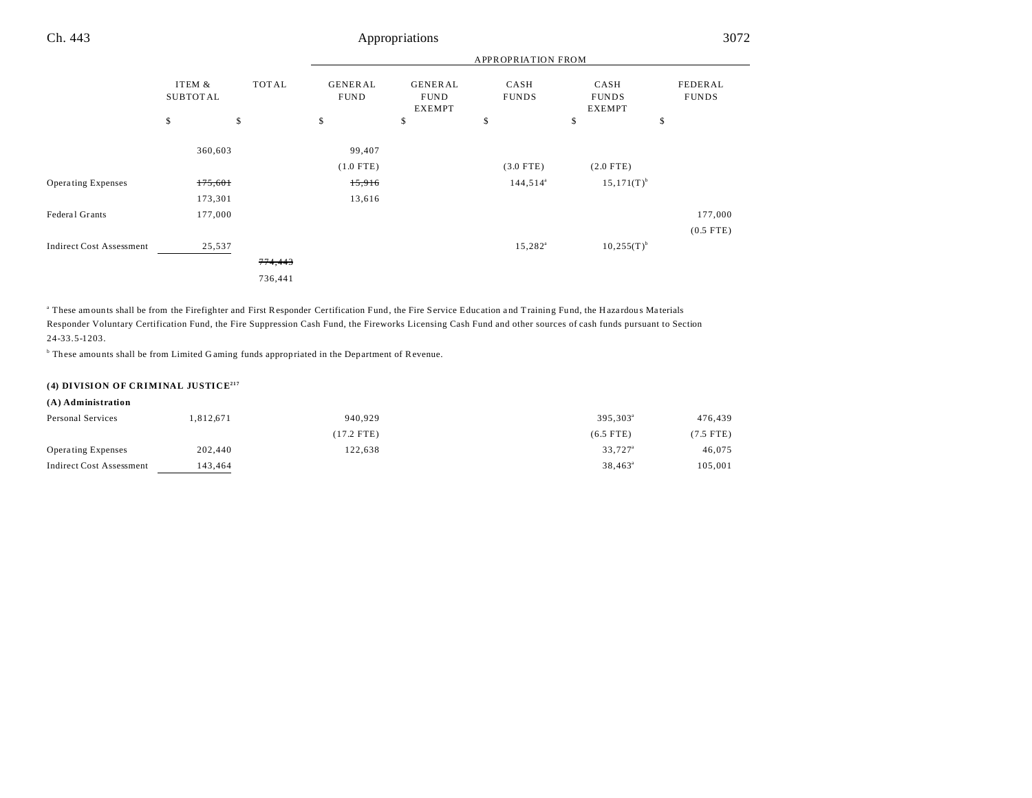|                                 |                           |         | <b>APPROPRIATION FROM</b>     |                                                |                      |                                       |                         |  |
|---------------------------------|---------------------------|---------|-------------------------------|------------------------------------------------|----------------------|---------------------------------------|-------------------------|--|
|                                 | ITEM &<br><b>SUBTOTAL</b> | TOTAL   | <b>GENERAL</b><br><b>FUND</b> | <b>GENERAL</b><br><b>FUND</b><br><b>EXEMPT</b> | CASH<br><b>FUNDS</b> | CASH<br><b>FUNDS</b><br><b>EXEMPT</b> | FEDERAL<br><b>FUNDS</b> |  |
|                                 | \$                        | \$      | \$                            | \$                                             | \$                   | \$                                    | \$                      |  |
|                                 | 360,603                   |         | 99,407                        |                                                |                      |                                       |                         |  |
|                                 |                           |         | $(1.0$ FTE)                   |                                                | $(3.0$ FTE)          | $(2.0$ FTE)                           |                         |  |
| <b>Operating Expenses</b>       | 175,601                   |         | 15,916                        |                                                | $144,514^a$          | $15,171(T)^{b}$                       |                         |  |
|                                 | 173,301                   |         | 13,616                        |                                                |                      |                                       |                         |  |
| Federal Grants                  | 177,000                   |         |                               |                                                |                      |                                       | 177,000                 |  |
|                                 |                           |         |                               |                                                |                      |                                       | $(0.5$ FTE)             |  |
| <b>Indirect Cost Assessment</b> | 25,537                    |         |                               |                                                | $15,282^{\circ}$     | $10,255(T)^{b}$                       |                         |  |
|                                 |                           | 774,443 |                               |                                                |                      |                                       |                         |  |
|                                 |                           | 736,441 |                               |                                                |                      |                                       |                         |  |

" These amounts shall be from the Firefighter and First Responder Certification Fund, the Fire Service Education and Training Fund, the Hazardous Materials Responder Voluntary Certification Fund, the Fire Suppression Cash Fund, the Fireworks Licensing Cash Fund and other sources of cash funds pursuant to Section 24-33.5-1203.

<sup>b</sup> These amounts shall be from Limited Gaming funds appropriated in the Department of Revenue.

#### **(4) DIVISION OF CRIMINAL JUSTICE<sup>217</sup>**

#### **(A) Administration**

| Personal Services         | .812.671 | 940.929    | 395.303 <sup>a</sup> | 476,439   |
|---------------------------|----------|------------|----------------------|-----------|
|                           |          | (17.2 FTE) | $(6.5$ FTE)          | (7.5 FTE) |
| <b>Operating Expenses</b> | 202,440  | 122.638    | 33.727 <sup>a</sup>  | 46,075    |
| Indirect Cost Assessment  | 143.464  |            | $38.463^{\circ}$     | 105,001   |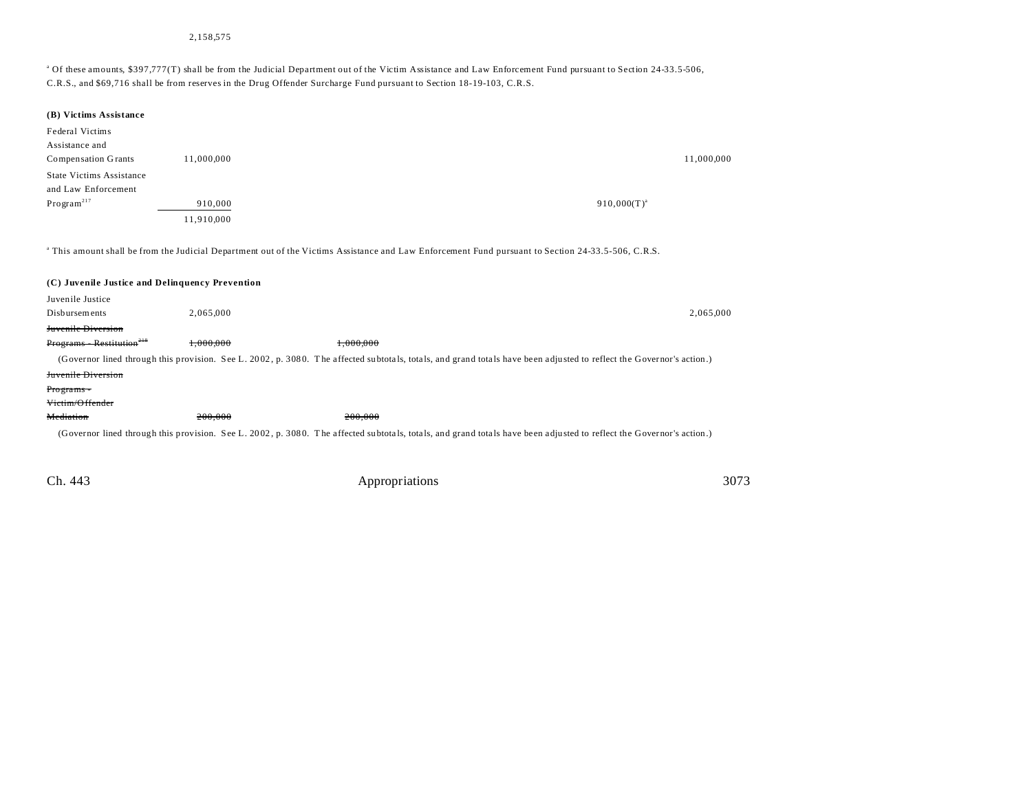#### 2,158,575

#### <sup>a</sup> Of these amounts, \$397,777(T) shall be from the Judicial Department out of the Victim Assistance and Law Enforcement Fund pursuant to Section 24-33.5-506, C.R.S., and \$69,716 shall be from reserves in the Drug Offender Surcharge Fund pursuant to Section 18-19-103, C.R.S.

| (B) Victims Assistance                          |            |                                                                                                                                                                      |                  |
|-------------------------------------------------|------------|----------------------------------------------------------------------------------------------------------------------------------------------------------------------|------------------|
| Federal Victims                                 |            |                                                                                                                                                                      |                  |
| Assistance and                                  |            |                                                                                                                                                                      |                  |
| Compensation Grants                             | 11,000,000 |                                                                                                                                                                      | 11,000,000       |
| <b>State Victims Assistance</b>                 |            |                                                                                                                                                                      |                  |
| and Law Enforcement                             |            |                                                                                                                                                                      |                  |
| Program <sup>217</sup>                          | 910,000    |                                                                                                                                                                      | $910,000(T)^{a}$ |
|                                                 | 11,910,000 |                                                                                                                                                                      |                  |
|                                                 |            |                                                                                                                                                                      |                  |
|                                                 |            | <sup>a</sup> This amount shall be from the Judicial Department out of the Victims Assistance and Law Enforcement Fund pursuant to Section 24-33.5-506, C.R.S.        |                  |
|                                                 |            |                                                                                                                                                                      |                  |
| (C) Juvenile Justice and Delinquency Prevention |            |                                                                                                                                                                      |                  |
| Juvenile Justice                                |            |                                                                                                                                                                      |                  |
| Disbursements                                   | 2,065,000  |                                                                                                                                                                      | 2,065,000        |
| Juvenile Diversion                              |            |                                                                                                                                                                      |                  |
| $Programs - Restitution218$                     | 1.000.000  | 1.000.000                                                                                                                                                            |                  |
|                                                 |            | (Governor lined through this provision. See L. 2002, p. 3080. The affected subtotals, totals, and grand totals have been adjusted to reflect the Governor's action.) |                  |
| Juvenile Diversion                              |            |                                                                                                                                                                      |                  |
| Programs -                                      |            |                                                                                                                                                                      |                  |
| Victim/Offender                                 |            |                                                                                                                                                                      |                  |
| Mediation                                       | 200.000    | 200.000                                                                                                                                                              |                  |
|                                                 |            | (Governor lined through this provision. See L. 2002, p. 3080. The affected subtotals, totals, and grand totals have been adjusted to reflect the Governor's action.) |                  |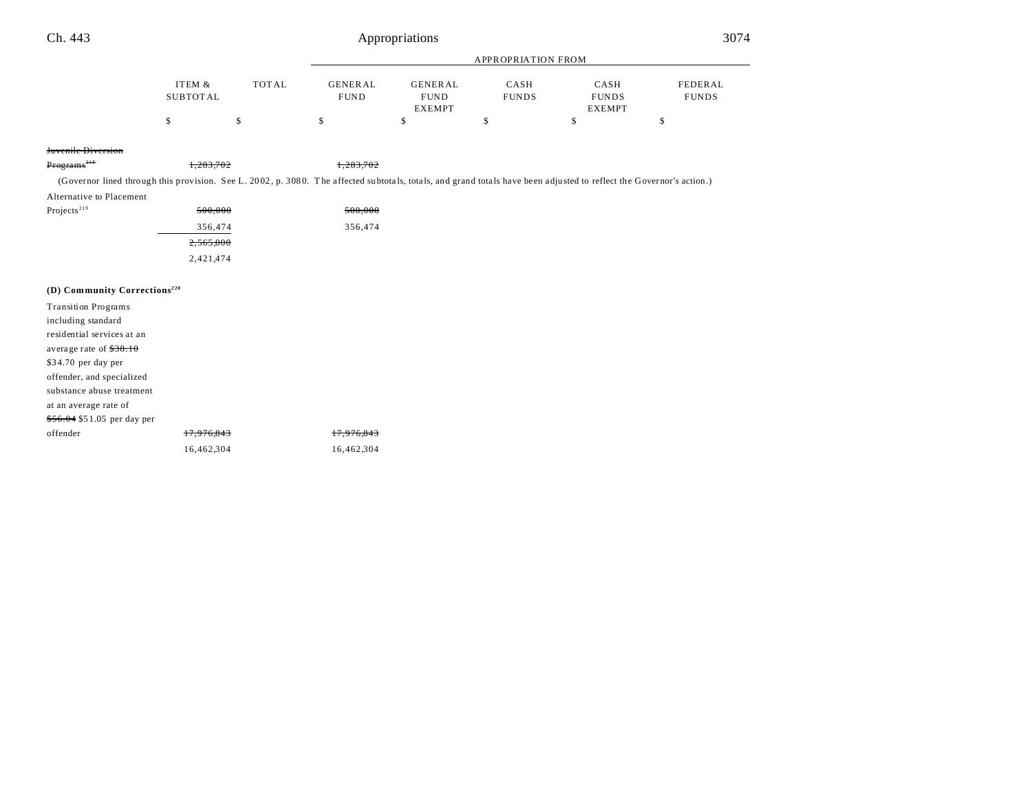| Ch. 443                                                                                                                                                              |                           |              |                               | Appropriations                                 |                           |                                       | 3074                    |  |
|----------------------------------------------------------------------------------------------------------------------------------------------------------------------|---------------------------|--------------|-------------------------------|------------------------------------------------|---------------------------|---------------------------------------|-------------------------|--|
|                                                                                                                                                                      |                           |              |                               |                                                | <b>APPROPRIATION FROM</b> |                                       |                         |  |
|                                                                                                                                                                      | ITEM &<br><b>SUBTOTAL</b> | <b>TOTAL</b> | <b>GENERAL</b><br><b>FUND</b> | <b>GENERAL</b><br><b>FUND</b><br><b>EXEMPT</b> | CASH<br><b>FUNDS</b>      | CASH<br><b>FUNDS</b><br><b>EXEMPT</b> | FEDERAL<br><b>FUNDS</b> |  |
|                                                                                                                                                                      | \$                        | \$           | \$                            | \$                                             | \$                        | \$                                    | \$                      |  |
| Juvenile Diversion                                                                                                                                                   |                           |              |                               |                                                |                           |                                       |                         |  |
| Programs <sup>218</sup>                                                                                                                                              | 1,283,702                 |              | 1,283,702                     |                                                |                           |                                       |                         |  |
| (Governor lined through this provision. See L. 2002, p. 3080. The affected subtotals, totals, and grand totals have been adjusted to reflect the Governor's action.) |                           |              |                               |                                                |                           |                                       |                         |  |
| Alternative to Placement                                                                                                                                             |                           |              |                               |                                                |                           |                                       |                         |  |
| Projects <sup>219</sup>                                                                                                                                              | 500,000                   |              | 500,000                       |                                                |                           |                                       |                         |  |
|                                                                                                                                                                      | 356,474                   |              | 356,474                       |                                                |                           |                                       |                         |  |
|                                                                                                                                                                      | 2,565,000                 |              |                               |                                                |                           |                                       |                         |  |
|                                                                                                                                                                      | 2,421,474                 |              |                               |                                                |                           |                                       |                         |  |
|                                                                                                                                                                      |                           |              |                               |                                                |                           |                                       |                         |  |
| (D) Community Corrections <sup>220</sup>                                                                                                                             |                           |              |                               |                                                |                           |                                       |                         |  |
| <b>Transition Programs</b>                                                                                                                                           |                           |              |                               |                                                |                           |                                       |                         |  |
| including standard                                                                                                                                                   |                           |              |                               |                                                |                           |                                       |                         |  |
| residential services at an                                                                                                                                           |                           |              |                               |                                                |                           |                                       |                         |  |
| average rate of $$38.10$                                                                                                                                             |                           |              |                               |                                                |                           |                                       |                         |  |
| \$34.70 per day per                                                                                                                                                  |                           |              |                               |                                                |                           |                                       |                         |  |
| offender, and specialized                                                                                                                                            |                           |              |                               |                                                |                           |                                       |                         |  |
| substance abuse treatment                                                                                                                                            |                           |              |                               |                                                |                           |                                       |                         |  |
| at an average rate of                                                                                                                                                |                           |              |                               |                                                |                           |                                       |                         |  |
| \$56.04 \$51.05 per day per                                                                                                                                          |                           |              |                               |                                                |                           |                                       |                         |  |
| offender                                                                                                                                                             | 17.976.843                |              | 17,976,843                    |                                                |                           |                                       |                         |  |

16,462,304 16,462,304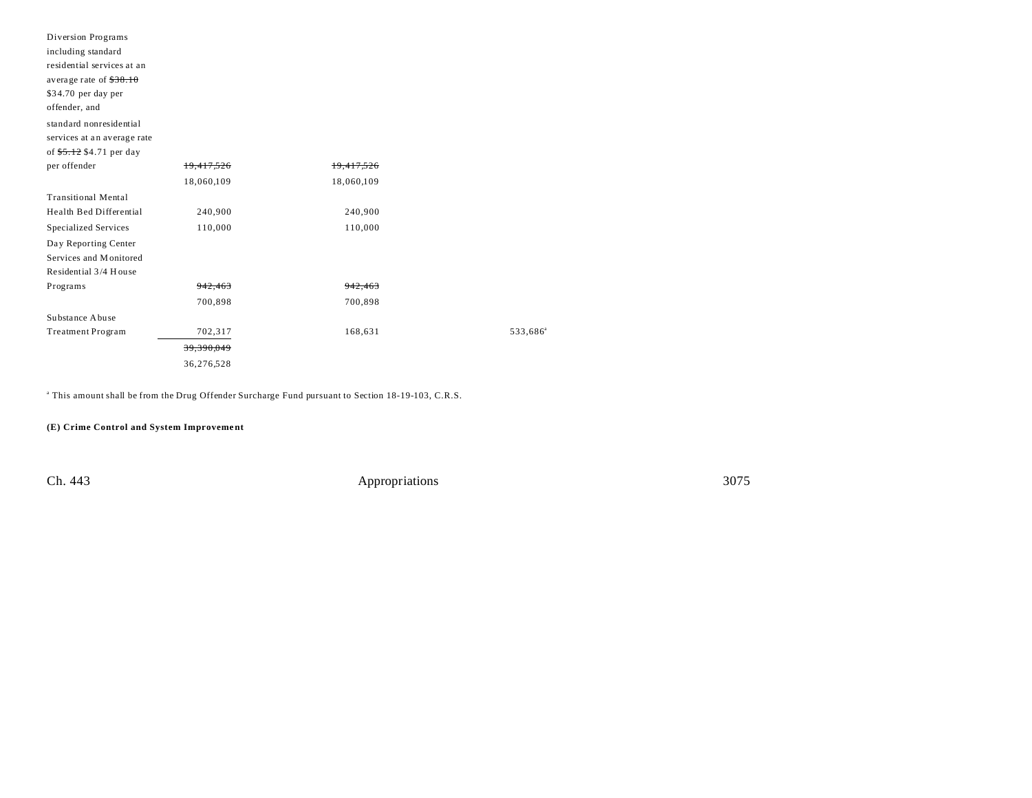| Diversion Programs          |            |                    |                      |
|-----------------------------|------------|--------------------|----------------------|
| including standard          |            |                    |                      |
| residential services at an  |            |                    |                      |
| average rate of $$38.10$    |            |                    |                      |
| \$34.70 per day per         |            |                    |                      |
| offender, and               |            |                    |                      |
| standard nonresidential     |            |                    |                      |
| services at an average rate |            |                    |                      |
| of \$5.12 \$4.71 per day    |            |                    |                      |
| per offender                | 19,417,526 | 19,417,526         |                      |
|                             | 18,060,109 | 18,060,109         |                      |
| <b>Transitional Mental</b>  |            |                    |                      |
| Health Bed Differential     | 240,900    | 240,900            |                      |
| <b>Specialized Services</b> | 110,000    | 110,000            |                      |
| Day Reporting Center        |            |                    |                      |
| Services and Monitored      |            |                    |                      |
| Residential 3/4 House       |            |                    |                      |
| Programs                    | 942,463    | <del>942.463</del> |                      |
|                             | 700,898    | 700,898            |                      |
| Substance Abuse             |            |                    |                      |
| Treatment Program           | 702,317    | 168,631            | 533,686 <sup>a</sup> |
|                             | 39,390,049 |                    |                      |
|                             | 36,276,528 |                    |                      |

a This amount shall be from the Drug Offender Surcharge Fund pursuant to Section 18-19-103, C.R.S.

**(E) Crime Control and System Improveme nt**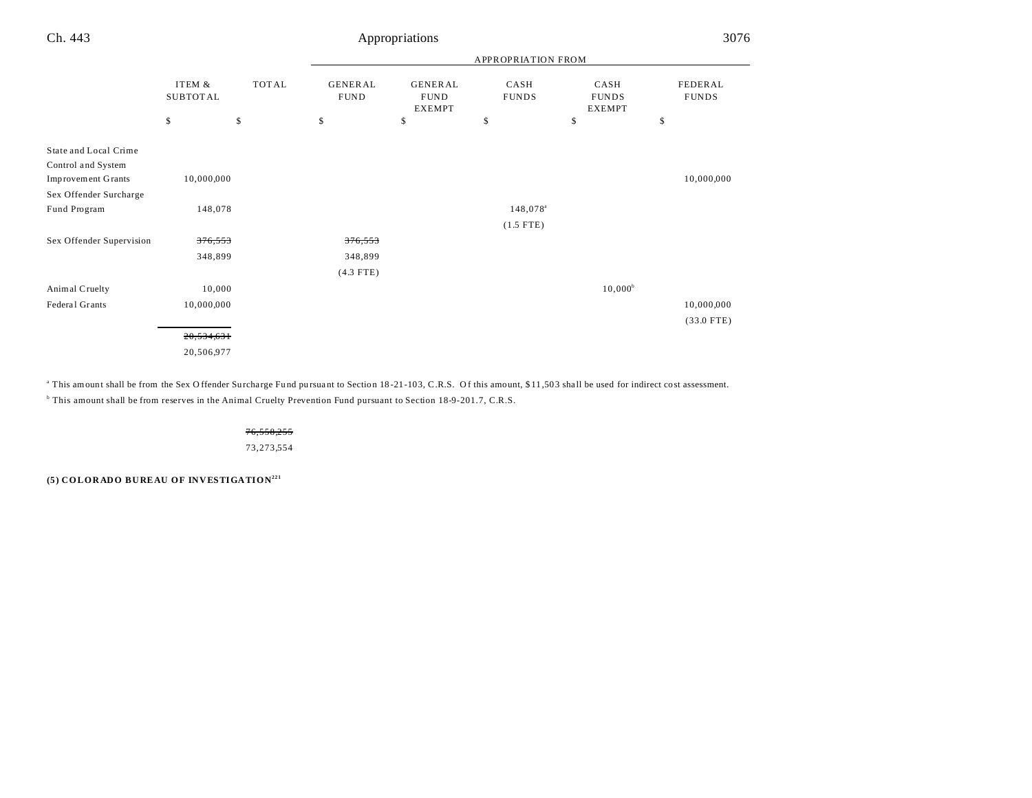| u<br>۰. | × |
|---------|---|
|         |   |

### Appropriations

|                           |                           |              |                               |                                                | <b>APPROPRIATION FROM</b> |                                       |                         |
|---------------------------|---------------------------|--------------|-------------------------------|------------------------------------------------|---------------------------|---------------------------------------|-------------------------|
|                           | ITEM &<br><b>SUBTOTAL</b> | <b>TOTAL</b> | <b>GENERAL</b><br><b>FUND</b> | <b>GENERAL</b><br><b>FUND</b><br><b>EXEMPT</b> | CASH<br><b>FUNDS</b>      | CASH<br><b>FUNDS</b><br><b>EXEMPT</b> | FEDERAL<br><b>FUNDS</b> |
|                           | \$                        | \$           | \$                            | \$                                             | \$                        | \$                                    | \$                      |
| State and Local Crime     |                           |              |                               |                                                |                           |                                       |                         |
| Control and System        |                           |              |                               |                                                |                           |                                       |                         |
| <b>Improvement Grants</b> | 10,000,000                |              |                               |                                                |                           |                                       | 10,000,000              |
| Sex Offender Surcharge    |                           |              |                               |                                                |                           |                                       |                         |
| Fund Program              | 148,078                   |              |                               |                                                | 148,078 <sup>a</sup>      |                                       |                         |
|                           |                           |              |                               |                                                | $(1.5$ FTE)               |                                       |                         |
| Sex Offender Supervision  | 376,553                   |              | 376,553                       |                                                |                           |                                       |                         |
|                           | 348,899                   |              | 348,899                       |                                                |                           |                                       |                         |
|                           |                           |              | $(4.3$ FTE)                   |                                                |                           |                                       |                         |
| Animal Cruelty            | 10,000                    |              |                               |                                                |                           | $10,000^{\rm b}$                      |                         |
| Federal Grants            | 10,000,000                |              |                               |                                                |                           |                                       | 10,000,000              |
|                           |                           |              |                               |                                                |                           |                                       | $(33.0$ FTE)            |
|                           | 20,534,631                |              |                               |                                                |                           |                                       |                         |
|                           | 0.0700007                 |              |                               |                                                |                           |                                       |                         |

20,506,977

This amount shall be from the Sex Offender Surcharge Fund pursuant to Section 18-21-103, C.R.S. Of this amount, \$11,503 shall be used for indirect cost assessment.

b This amount shall be from reserves in the Animal Cruelty Prevention Fund pursuant to Section 18-9-201.7, C.R.S.

76,558,255

73,273,554

**(5) COLORADO BUREAU OF INVESTIGATION221**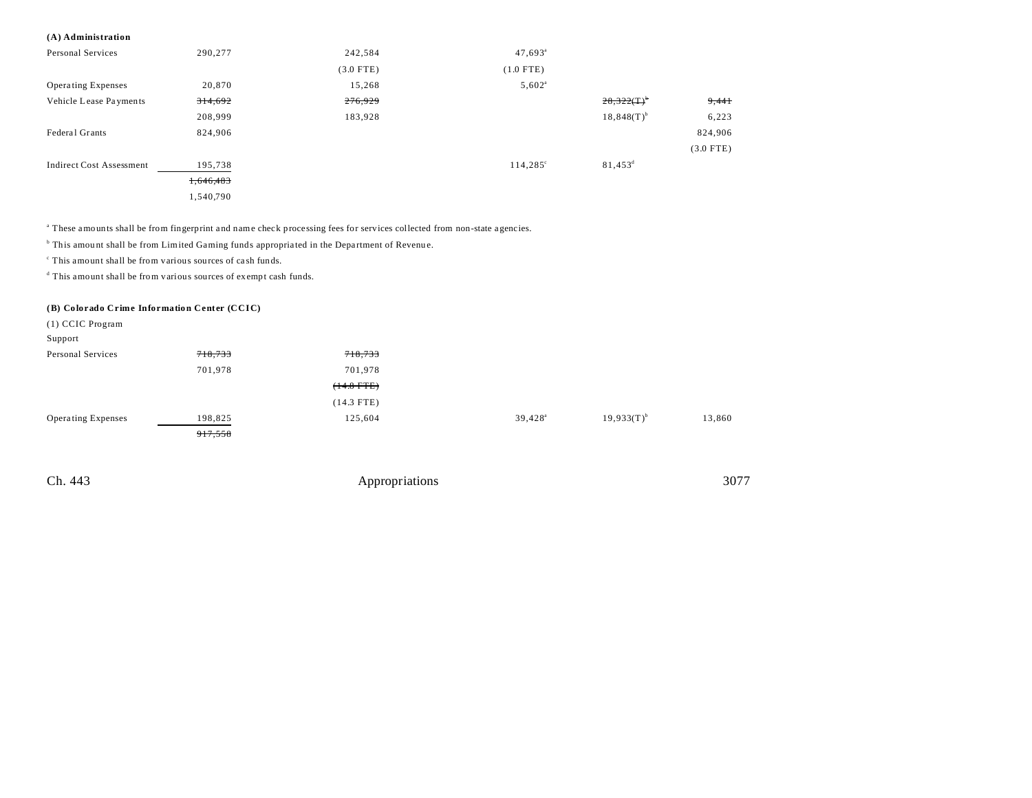#### **(A) Administration**

| Personal Services               | 290,277   | 242,584     | $47,693$ <sup>a</sup> |                  |             |
|---------------------------------|-----------|-------------|-----------------------|------------------|-------------|
|                                 |           | $(3.0$ FTE) | $(1.0$ FTE)           |                  |             |
| <b>Operating Expenses</b>       | 20,870    | 15,268      | $5,602$ <sup>a</sup>  |                  |             |
| Vehicle Lease Payments          | 314,692   | 276,929     |                       | $28,322(T)^{b}$  | 9,441       |
|                                 | 208,999   | 183,928     |                       | $18,848(T)^{b}$  | 6,223       |
| Federal Grants                  | 824,906   |             |                       |                  | 824,906     |
|                                 |           |             |                       |                  | $(3.0$ FTE) |
| <b>Indirect Cost Assessment</b> | 195,738   |             | $114,285^{\circ}$     | $81,453^{\rm d}$ |             |
|                                 | 1,646,483 |             |                       |                  |             |
|                                 | 1,540,790 |             |                       |                  |             |

a These amounts shall be from fingerprint a nd name check processing fees for services collected from non-state a gencies.

<sup>b</sup> This amount shall be from Limited Gaming funds appropriated in the Department of Revenue.

c This amount shall be from various sources of ca sh funds.

d This amount shall be from various sources of exempt cash funds.

#### **(B) Colorado Crime Information Center (CCIC)**

| $(1)$ CCIC Program        |         |              |                  |                 |        |
|---------------------------|---------|--------------|------------------|-----------------|--------|
| Support                   |         |              |                  |                 |        |
| Personal Services         | 718,733 | 718,733      |                  |                 |        |
|                           | 701,978 | 701,978      |                  |                 |        |
|                           |         | $(14.8$ FTE) |                  |                 |        |
|                           |         | $(14.3$ FTE) |                  |                 |        |
| <b>Operating Expenses</b> | 198,825 | 125,604      | $39,428^{\circ}$ | $19.933(T)^{b}$ | 13,860 |
|                           | 917,558 |              |                  |                 |        |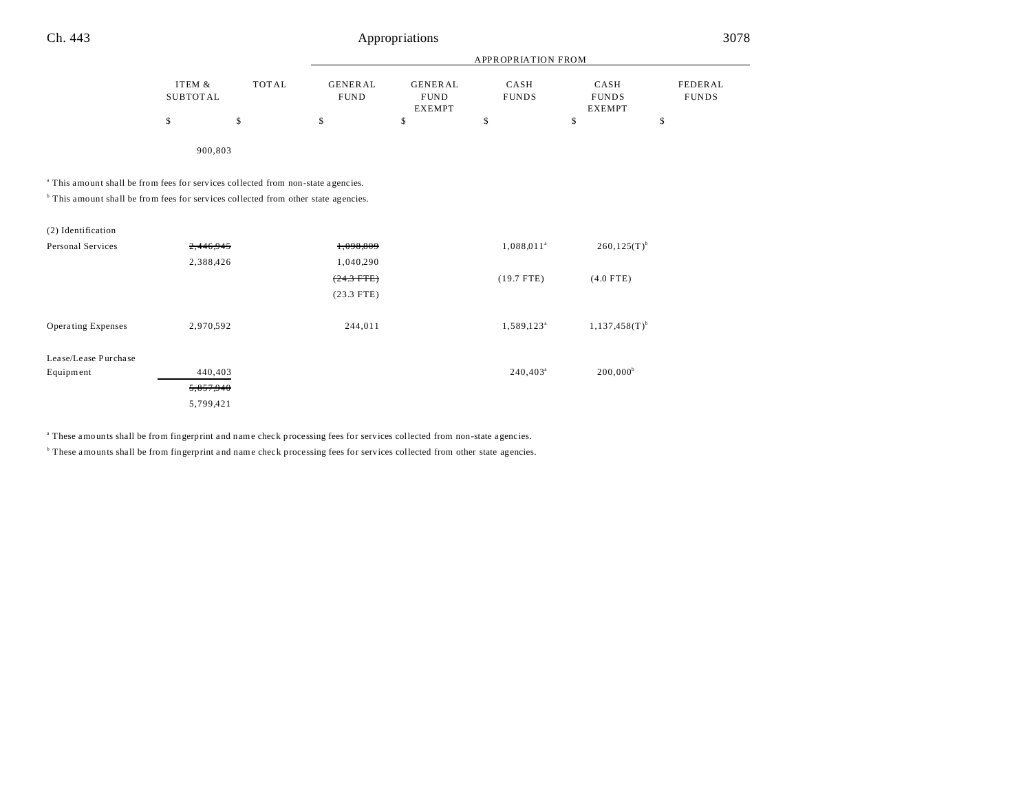|                                                                                               |                           |              |                               |                                                | <b>APPROPRIATION FROM</b> |                                       |                         |
|-----------------------------------------------------------------------------------------------|---------------------------|--------------|-------------------------------|------------------------------------------------|---------------------------|---------------------------------------|-------------------------|
|                                                                                               | ITEM &<br><b>SUBTOTAL</b> | <b>TOTAL</b> | <b>GENERAL</b><br><b>FUND</b> | <b>GENERAL</b><br><b>FUND</b><br><b>EXEMPT</b> | CASH<br><b>FUNDS</b>      | CASH<br><b>FUNDS</b><br><b>EXEMPT</b> | FEDERAL<br><b>FUNDS</b> |
|                                                                                               | \$                        | \$           | \$                            | \$                                             | \$                        | \$                                    | \$                      |
|                                                                                               | 900,803                   |              |                               |                                                |                           |                                       |                         |
| <sup>a</sup> This amount shall be from fees for services collected from non-state agencies.   |                           |              |                               |                                                |                           |                                       |                         |
| <sup>b</sup> This amount shall be from fees for services collected from other state agencies. |                           |              |                               |                                                |                           |                                       |                         |
| (2) Identification                                                                            |                           |              |                               |                                                |                           |                                       |                         |
| Personal Services                                                                             | 2,446,945                 |              | 1,098,809                     |                                                | $1,088,011^a$             | $260, 125(T)^{b}$                     |                         |
|                                                                                               | 2,388,426                 |              | 1,040,290                     |                                                |                           |                                       |                         |
|                                                                                               |                           |              | $(24.3$ FTE)                  |                                                | $(19.7$ FTE)              | $(4.0$ FTE)                           |                         |
|                                                                                               |                           |              | $(23.3$ FTE)                  |                                                |                           |                                       |                         |
| Operating Expenses                                                                            | 2,970,592                 |              | 244,011                       |                                                | 1,589,123 <sup>a</sup>    | $1, 137, 458(T)^{b}$                  |                         |
| Lease/Lease Purchase                                                                          |                           |              |                               |                                                |                           |                                       |                         |
| Equipment                                                                                     | 440,403                   |              |                               |                                                | $240,403^a$               | $200,000^b$                           |                         |
|                                                                                               | 5,857,940                 |              |                               |                                                |                           |                                       |                         |
|                                                                                               | 5,799,421                 |              |                               |                                                |                           |                                       |                         |

<sup>a</sup> These amounts shall be from fingerprint and name check processing fees for services collected from non-state agencies.

<sup>b</sup> These amounts shall be from fingerprint and name check processing fees for services collected from other state agencies.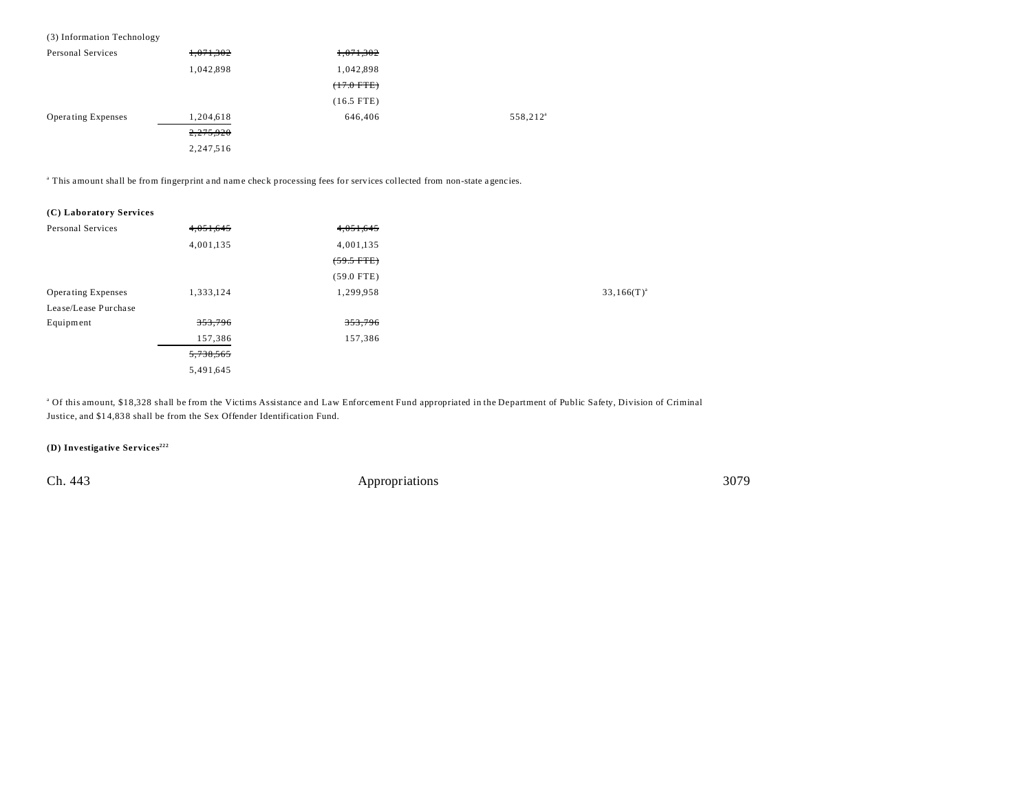#### (3) Information Technology

| Personal Services         | 1,071,302 | 1,071,302    |                      |
|---------------------------|-----------|--------------|----------------------|
|                           | 1,042,898 | 1,042,898    |                      |
|                           |           | $(+7.0$ FTE) |                      |
|                           |           | $(16.5$ FTE) |                      |
| <b>Operating Expenses</b> | 1,204,618 | 646,406      | 558,212 <sup>a</sup> |
|                           | 2,275,920 |              |                      |
|                           | 2,247,516 |              |                      |

a This amount shall be from fingerprint a nd name check processing fees for services collected from non-state a gencies.

| (C) Laboratory Services |  |
|-------------------------|--|
|-------------------------|--|

| Personal Services         | 4,051,645          | 4,051,645          |                 |
|---------------------------|--------------------|--------------------|-----------------|
|                           | 4,001,135          | 4,001,135          |                 |
|                           |                    | $(59.5$ FTE)       |                 |
|                           |                    | $(59.0$ FTE)       |                 |
| <b>Operating Expenses</b> | 1,333,124          | 1,299,958          | $33,166(T)^{a}$ |
| Lease/Lease Purchase      |                    |                    |                 |
| Equipment                 | <del>353,796</del> | <del>353,796</del> |                 |
|                           | 157,386            | 157,386            |                 |
|                           | 5,738,565          |                    |                 |
|                           | 5,491,645          |                    |                 |

<sup>a</sup> Of this amount, \$18,328 shall be from the Victims Assistance and Law Enforcement Fund appropriated in the Department of Public Safety, Division of Criminal Justice, and \$1 4,83 8 shall be from the Sex Offender Identification Fund.

**(D) Investigative Services222**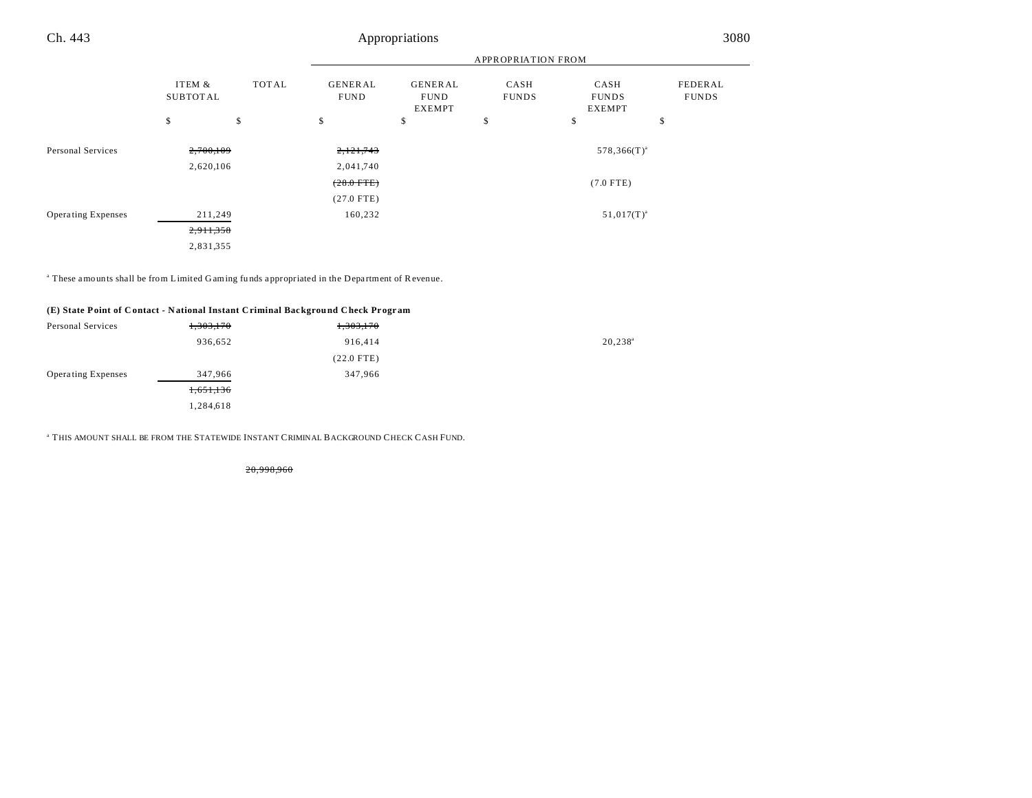|                           |                        |              | APPROPRIATION FROM            |                                                |                      |                                       |                         |
|---------------------------|------------------------|--------------|-------------------------------|------------------------------------------------|----------------------|---------------------------------------|-------------------------|
|                           | ITEM &<br>SUBTOTAL     | <b>TOTAL</b> | <b>GENERAL</b><br><b>FUND</b> | <b>GENERAL</b><br><b>FUND</b><br><b>EXEMPT</b> | CASH<br><b>FUNDS</b> | CASH<br><b>FUNDS</b><br><b>EXEMPT</b> | FEDERAL<br><b>FUNDS</b> |
|                           | \$                     | \$           | \$                            | \$                                             | \$                   | \$                                    | \$                      |
| Personal Services         | 2,700,109<br>2,620,106 |              | 2,121,743                     |                                                |                      | $578,366(T)^{a}$                      |                         |
|                           |                        |              | 2,041,740<br>$(28.0$ FTE)     |                                                |                      | $(7.0$ FTE)                           |                         |
|                           |                        |              | $(27.0$ FTE)                  |                                                |                      |                                       |                         |
| <b>Operating Expenses</b> | 211,249                |              | 160,232                       |                                                |                      | $51,017(T)^{a}$                       |                         |
|                           | 2,911,358              |              |                               |                                                |                      |                                       |                         |
|                           | 2,831,355              |              |                               |                                                |                      |                                       |                         |

<sup>a</sup> These amounts shall be from Limited Gaming funds appropriated in the Department of Revenue.

#### **(E) State Point of C ontact - N ational Instant Criminal Background Check Pr ogr am**

| Personal Services         | 1,303,170 | 1,303,170    |                  |
|---------------------------|-----------|--------------|------------------|
|                           | 936,652   | 916,414      | $20,238^{\circ}$ |
|                           |           | $(22.0$ FTE) |                  |
| <b>Operating Expenses</b> | 347,966   | 347,966      |                  |
|                           | 1,651,136 |              |                  |
|                           | 1,284,618 |              |                  |

a THIS AMOUNT SHALL BE FROM THE STATEWIDE INSTANT CRIMINAL BACKGROUND CHECK CASH FUND.

20,998,960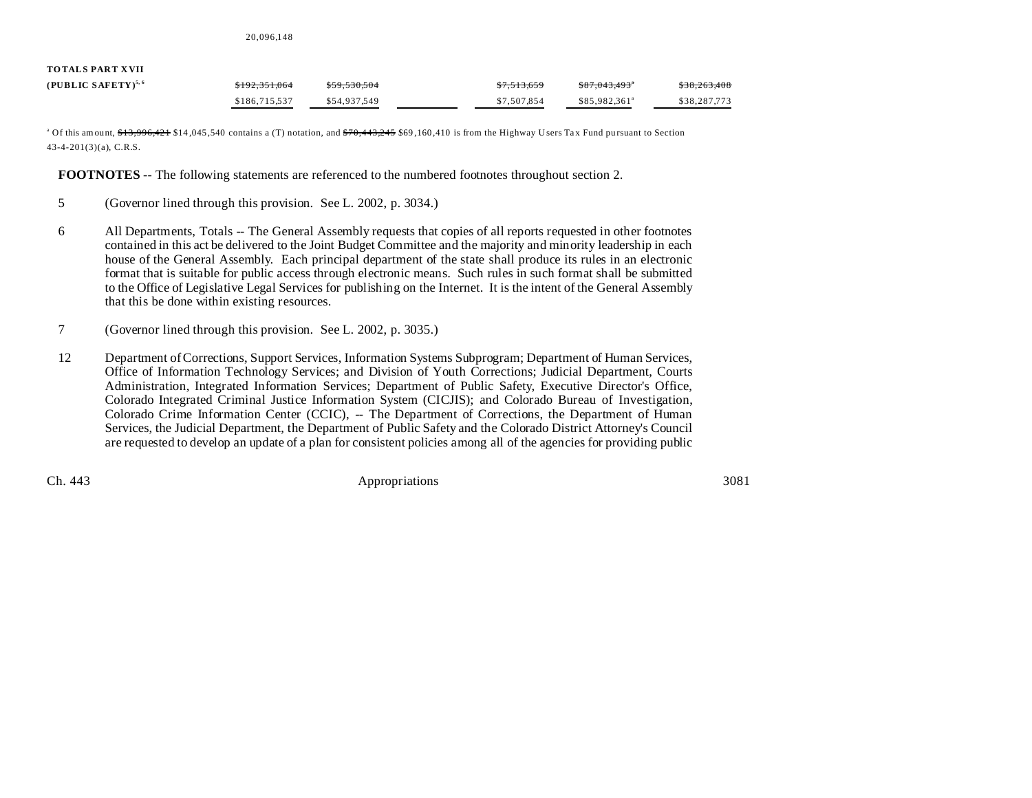20,096,148

# **TOTALS PART XVII**

| (PUBLIC SAFETY) <sup>5,6</sup> | <del>\$192.351.064</del> | \$59.530.504 | \$7.513.659 | \$87.043.493*             | \$38,263,408 |
|--------------------------------|--------------------------|--------------|-------------|---------------------------|--------------|
|                                | \$186,715,537            | \$54,937.549 | \$7,507,854 | \$85,982,361 <sup>a</sup> | \$38,287,773 |

<sup>a</sup> Of this amount, <del>\$13,996,421</del> \$14,045,540 contains a (T) notation, and <del>\$70,443,245</del> \$69,160,410 is from the Highway Users Tax Fund pursuant to Section 43-4-201(3)(a), C.R.S.

**FOOTNOTES** -- The following statements are referenced to the numbered footnotes throughout section 2.

- 5 (Governor lined through this provision. See L. 2002, p. 3034.)
- 6 All Departments, Totals -- The General Assembly requests that copies of all reports requested in other footnotes contained in this act be delivered to the Joint Budget Committee and the majority and minority leadership in each house of the General Assembly. Each principal department of the state shall produce its rules in an electronic format that is suitable for public access through electronic means. Such rules in such format shall be submitted to the Office of Legislative Legal Services for publishing on the Internet. It is the intent of the General Assembly that this be done within existing resources.
- 7 (Governor lined through this provision. See L. 2002, p. 3035.)
- 12 Department of Corrections, Support Services, Information Systems Subprogram; Department of Human Services, Office of Information Technology Services; and Division of Youth Corrections; Judicial Department, Courts Administration, Integrated Information Services; Department of Public Safety, Executive Director's Office, Colorado Integrated Criminal Justice Information System (CICJIS); and Colorado Bureau of Investigation, Colorado Crime Information Center (CCIC), -- The Department of Corrections, the Department of Human Services, the Judicial Department, the Department of Public Safety and the Colorado District Attorney's Council are requested to develop an update of a plan for consistent policies among all of the agencies for providing public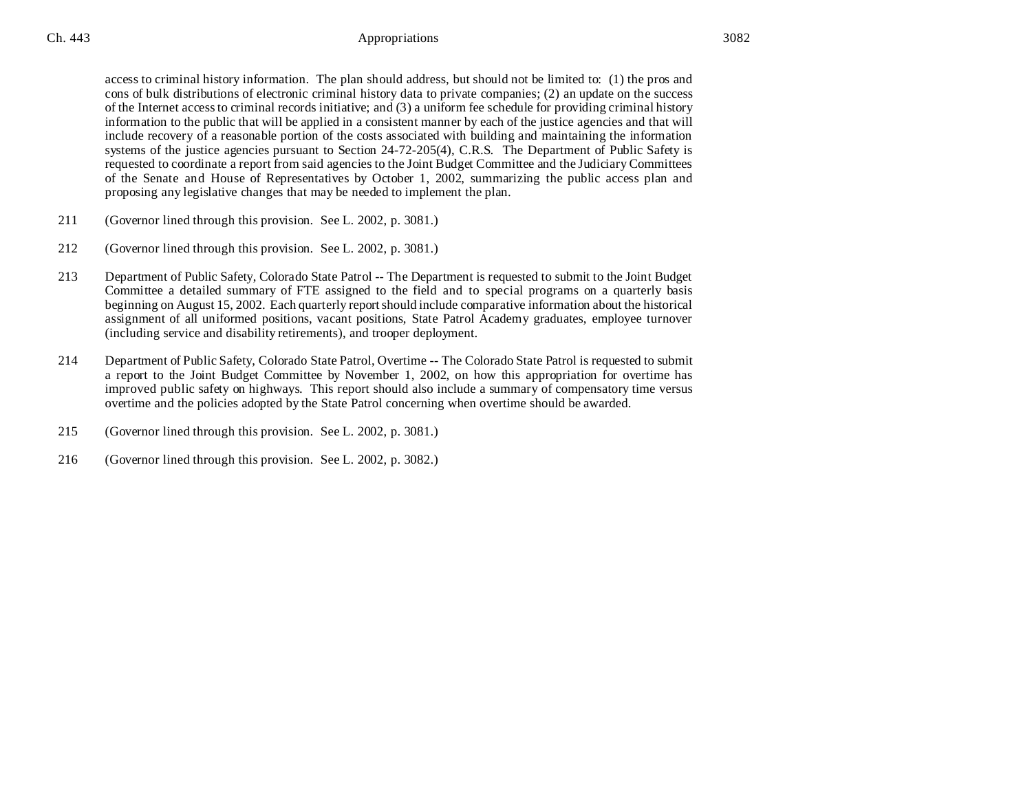access to criminal history information. The plan should address, but should not be limited to: (1) the pros and cons of bulk distributions of electronic criminal history data to private companies; (2) an update on the success of the Internet access to criminal records initiative; and (3) a uniform fee schedule for providing criminal history information to the public that will be applied in a consistent manner by each of the justice agencies and that will include recovery of a reasonable portion of the costs associated with building and maintaining the information systems of the justice agencies pursuant to Section 24-72-205(4), C.R.S. The Department of Public Safety is requested to coordinate a report from said agencies to the Joint Budget Committee and the Judiciary Committees of the Senate and House of Representatives by October 1, 2002, summarizing the public access plan and proposing any legislative changes that may be needed to implement the plan.

- 211 (Governor lined through this provision. See L. 2002, p. 3081.)
- 212 (Governor lined through this provision. See L. 2002, p. 3081.)
- 213 Department of Public Safety, Colorado State Patrol -- The Department is requested to submit to the Joint Budget Committee a detailed summary of FTE assigned to the field and to special programs on a quarterly basis beginning on August 15, 2002. Each quarterly report should include comparative information about the historical assignment of all uniformed positions, vacant positions, State Patrol Academy graduates, employee turnover (including service and disability retirements), and trooper deployment.
- 214 Department of Public Safety, Colorado State Patrol, Overtime -- The Colorado State Patrol is requested to submit a report to the Joint Budget Committee by November 1, 2002, on how this appropriation for overtime has improved public safety on highways. This report should also include a summary of compensatory time versus overtime and the policies adopted by the State Patrol concerning when overtime should be awarded.
- 215 (Governor lined through this provision. See L. 2002, p. 3081.)
- 216 (Governor lined through this provision. See L. 2002, p. 3082.)